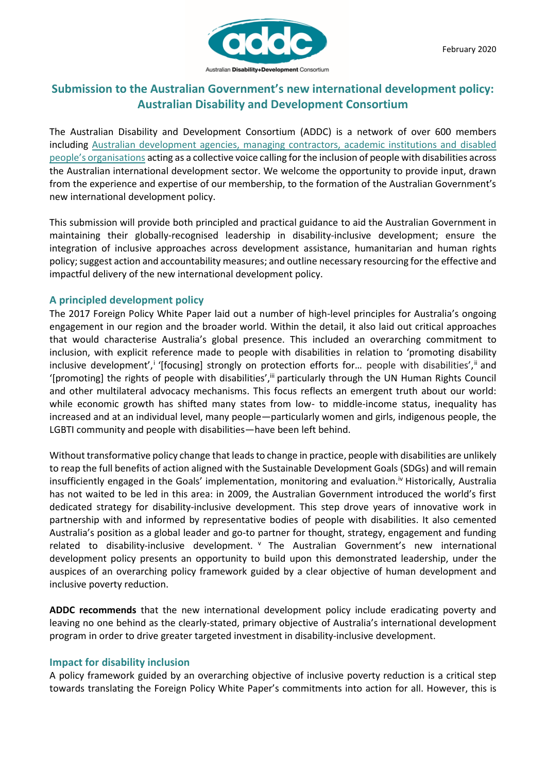

# **Submission to the Australian Government's new international development policy: Australian Disability and Development Consortium**

The Australian Disability and Development Consortium (ADDC) is a network of over 600 members including [Australian development agencies, managing contractors, academic institutions and disabled](https://www.addc.org.au/who-we-are/executive-committee/)  [people's organisations](https://www.addc.org.au/who-we-are/executive-committee/) acting as a collective voice calling for the inclusion of people with disabilities across the Australian international development sector. We welcome the opportunity to provide input, drawn from the experience and expertise of our membership, to the formation of the Australian Government's new international development policy.

This submission will provide both principled and practical guidance to aid the Australian Government in maintaining their globally-recognised leadership in disability-inclusive development; ensure the integration of inclusive approaches across development assistance, humanitarian and human rights policy; suggest action and accountability measures; and outline necessary resourcing for the effective and impactful delivery of the new international development policy.

## **A principled development policy**

The 2017 Foreign Policy White Paper laid out a number of high-level principles for Australia's ongoing engagement in our region and the broader world. Within the detail, it also laid out critical approaches that would characterise Australia's global presence. This included an overarching commitment to inclusion, with explicit reference made to people with disabilities in relation to 'promoting disability inclusive development',<sup>i</sup> '[focusing] strongly on protection efforts for... people with disabilities',<sup>ii</sup> and '[promoting] the rights of people with disabilities',<sup>iii</sup> particularly through the UN Human Rights Council and other multilateral advocacy mechanisms. This focus reflects an emergent truth about our world: while economic growth has shifted many states from low- to middle-income status, inequality has increased and at an individual level, many people—particularly women and girls, indigenous people, the LGBTI community and people with disabilities—have been left behind.

Without transformative policy change that leads to change in practice, people with disabilities are unlikely to reap the full benefits of action aligned with the Sustainable Development Goals (SDGs) and will remain insufficiently engaged in the Goals' implementation, monitoring and evaluation.<sup>iv</sup> Historically, Australia has not waited to be led in this area: in 2009, the Australian Government introduced the world's first dedicated strategy for disability-inclusive development. This step drove years of innovative work in partnership with and informed by representative bodies of people with disabilities. It also cemented Australia's position as a global leader and go-to partner for thought, strategy, engagement and funding related to disability-inclusive development. <sup>v</sup> The Australian Government's new international development policy presents an opportunity to build upon this demonstrated leadership, under the auspices of an overarching policy framework guided by a clear objective of human development and inclusive poverty reduction.

**ADDC recommends** that the new international development policy include eradicating poverty and leaving no one behind as the clearly-stated, primary objective of Australia's international development program in order to drive greater targeted investment in disability-inclusive development.

### **Impact for disability inclusion**

A policy framework guided by an overarching objective of inclusive poverty reduction is a critical step towards translating the Foreign Policy White Paper's commitments into action for all. However, this is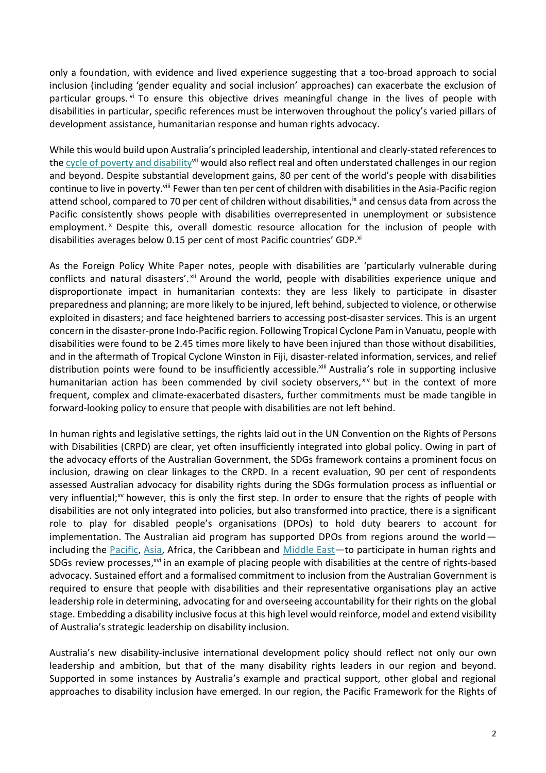only a foundation, with evidence and lived experience suggesting that a too-broad approach to social inclusion (including 'gender equality and social inclusion' approaches) can exacerbate the exclusion of particular groups. vi To ensure this objective drives meaningful change in the lives of people with disabilities in particular, specific references must be interwoven throughout the policy's varied pillars of development assistance, humanitarian response and human rights advocacy.

While this would build upon Australia's principled leadership, intentional and clearly-stated references to the [cycle of poverty and disability](https://www.addc.org.au/home/disability-development/disability-and-poverty-cycle/)<sup>vii</sup> would also reflect real and often understated challenges in our region and beyond. Despite substantial development gains, 80 per cent of the world's people with disabilities continue to live in poverty.<sup>viii</sup> Fewer than ten per cent of children with disabilities in the Asia-Pacific region attend school, compared to 70 per cent of children without disabilities, ix and census data from across the Pacific consistently shows people with disabilities overrepresented in unemployment or subsistence employment.<sup>x</sup> Despite this, overall domestic resource allocation for the inclusion of people with disabilities averages below 0.15 per cent of most Pacific countries' GDP.<sup>xi</sup>

As the Foreign Policy White Paper notes, people with disabilities are 'particularly vulnerable during conflicts and natural disasters'. Xii Around the world, people with disabilities experience unique and disproportionate impact in humanitarian contexts: they are less likely to participate in disaster preparedness and planning; are more likely to be injured, left behind, subjected to violence, or otherwise exploited in disasters; and face heightened barriers to accessing post-disaster services. This is an urgent concern in the disaster-prone Indo-Pacific region. Following Tropical Cyclone Pam in Vanuatu, people with disabilities were found to be 2.45 times more likely to have been injured than those without disabilities, and in the aftermath of Tropical Cyclone Winston in Fiji, disaster-related information, services, and relief distribution points were found to be insufficiently accessible.<sup>xiii</sup> Australia's role in supporting inclusive humanitarian action has been commended by civil society observers, xiv but in the context of more frequent, complex and climate-exacerbated disasters, further commitments must be made tangible in forward-looking policy to ensure that people with disabilities are not left behind.

In human rights and legislative settings, the rights laid out in the UN Convention on the Rights of Persons with Disabilities (CRPD) are clear, yet often insufficiently integrated into global policy. Owing in part of the advocacy efforts of the Australian Government, the SDGs framework contains a prominent focus on inclusion, drawing on clear linkages to the CRPD. In a recent evaluation, 90 per cent of respondents assessed Australian advocacy for disability rights during the SDGs formulation process as influential or very influential;<sup>xv</sup> however, this is only the first step. In order to ensure that the rights of people with disabilities are not only integrated into policies, but also transformed into practice, there is a significant role to play for disabled people's organisations (DPOs) to hold duty bearers to account for implementation. The Australian aid program has supported DPOs from regions around the world including the [Pacific,](http://disabilityrightsfund.org/our-impact/our-stories-of-change/engaging-persons-disabilities-vanuatu/) [Asia,](http://disabilityrightsfund.org/hlpf/) Africa, the Caribbean and [Middle East](https://www.addc.org.au/home/10-days-for-10-years/day-6-reporting-from-the-shadows/)—to participate in human rights and SDGs review processes,<sup>xvi</sup> in an example of placing people with disabilities at the centre of rights-based advocacy. Sustained effort and a formalised commitment to inclusion from the Australian Government is required to ensure that people with disabilities and their representative organisations play an active leadership role in determining, advocating for and overseeing accountability for their rights on the global stage. Embedding a disability inclusive focus at this high level would reinforce, model and extend visibility of Australia's strategic leadership on disability inclusion.

Australia's new disability-inclusive international development policy should reflect not only our own leadership and ambition, but that of the many disability rights leaders in our region and beyond. Supported in some instances by Australia's example and practical support, other global and regional approaches to disability inclusion have emerged. In our region, the Pacific Framework for the Rights of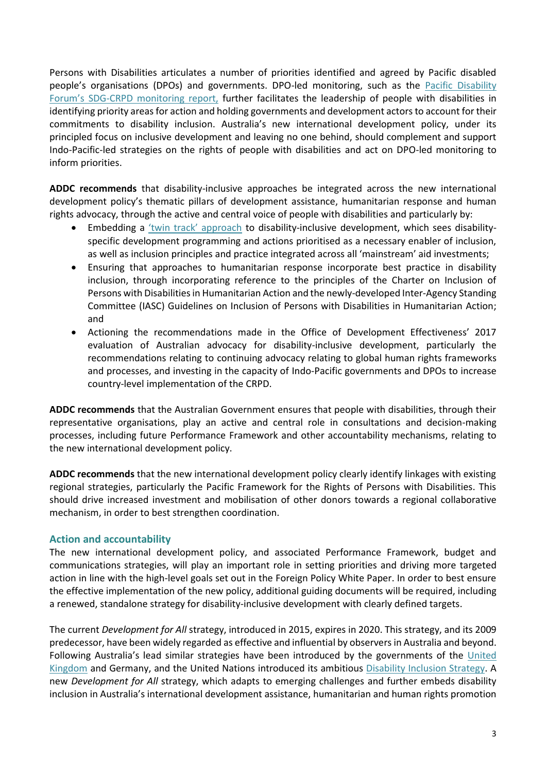Persons with Disabilities articulates a number of priorities identified and agreed by Pacific disabled people's organisations (DPOs) and governments. DPO-led monitoring, such as the [Pacific Disability](http://www.internationaldisabilityalliance.org/sites/default/files/final_sdg_report_2018_print_.pdf)  Forum's SDG[-CRPD monitoring report,](http://www.internationaldisabilityalliance.org/sites/default/files/final_sdg_report_2018_print_.pdf) further facilitates the leadership of people with disabilities in identifying priority areas for action and holding governments and development actors to account for their commitments to disability inclusion. Australia's new international development policy, under its principled focus on inclusive development and leaving no one behind, should complement and support Indo-Pacific-led strategies on the rights of people with disabilities and act on DPO-led monitoring to inform priorities.

**ADDC recommends** that disability-inclusive approaches be integrated across the new international development policy's thematic pillars of development assistance, humanitarian response and human rights advocacy, through the active and central voice of people with disabilities and particularly by:

- Embedding a ['twin track' approach](https://www.addc.org.au/home/10-days-for-10-years/day-2-beyond-the-mainstream/) to disability-inclusive development, which sees disabilityspecific development programming and actions prioritised as a necessary enabler of inclusion, as well as inclusion principles and practice integrated across all 'mainstream' aid investments;
- Ensuring that approaches to humanitarian response incorporate best practice in disability inclusion, through incorporating reference to the principles of the Charter on Inclusion of Persons with Disabilities in Humanitarian Action and the newly-developed Inter-Agency Standing Committee (IASC) Guidelines on Inclusion of Persons with Disabilities in Humanitarian Action; and
- Actioning the recommendations made in the Office of Development Effectiveness' 2017 evaluation of Australian advocacy for disability-inclusive development, particularly the recommendations relating to continuing advocacy relating to global human rights frameworks and processes, and investing in the capacity of Indo-Pacific governments and DPOs to increase country-level implementation of the CRPD.

**ADDC recommends** that the Australian Government ensures that people with disabilities, through their representative organisations, play an active and central role in consultations and decision-making processes, including future Performance Framework and other accountability mechanisms, relating to the new international development policy.

**ADDC recommends** that the new international development policy clearly identify linkages with existing regional strategies, particularly the Pacific Framework for the Rights of Persons with Disabilities. This should drive increased investment and mobilisation of other donors towards a regional collaborative mechanism, in order to best strengthen coordination.

## **Action and accountability**

The new international development policy, and associated Performance Framework, budget and communications strategies, will play an important role in setting priorities and driving more targeted action in line with the high-level goals set out in the Foreign Policy White Paper. In order to best ensure the effective implementation of the new policy, additional guiding documents will be required, including a renewed, standalone strategy for disability-inclusive development with clearly defined targets.

The current *Development for All* strategy, introduced in 2015, expires in 2020. This strategy, and its 2009 predecessor, have been widely regarded as effective and influential by observers in Australia and beyond. Following Australia's lead similar strategies have been introduced by the governments of the [United](https://www.gov.uk/government/publications/dfids-disability-inclusion-strategy-2018-to-2023)  [Kingdom](https://www.gov.uk/government/publications/dfids-disability-inclusion-strategy-2018-to-2023) and Germany, and the United Nations introduced its ambitious [Disability Inclusion Strategy.](https://www.un.org/en/content/disabilitystrategy/) A new *Development for All* strategy, which adapts to emerging challenges and further embeds disability inclusion in Australia's international development assistance, humanitarian and human rights promotion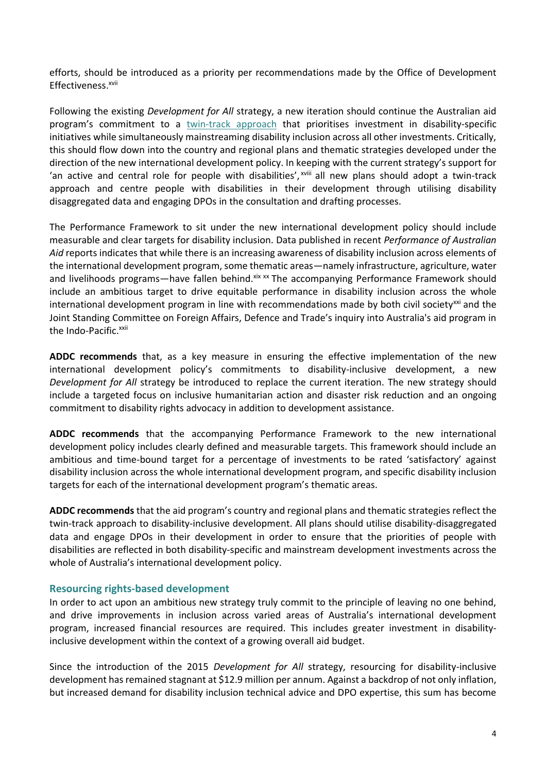efforts, should be introduced as a priority per recommendations made by the Office of Development Effectiveness.<sup>xvii</sup>

Following the existing *Development for All* strategy, a new iteration should continue the Australian aid program's commitment to a [twin-track approach](https://www.addc.org.au/home/10-days-for-10-years/day-2-beyond-the-mainstream/) that prioritises investment in disability-specific initiatives while simultaneously mainstreaming disability inclusion across all other investments. Critically, this should flow down into the country and regional plans and thematic strategies developed under the direction of the new international development policy. In keeping with the current strategy's support for 'an active and central role for people with disabilities', xviii all new plans should adopt a twin-track approach and centre people with disabilities in their development through utilising disability disaggregated data and engaging DPOs in the consultation and drafting processes.

The Performance Framework to sit under the new international development policy should include measurable and clear targets for disability inclusion. Data published in recent *Performance of Australian Aid* reports indicates that while there is an increasing awareness of disability inclusion across elements of the international development program, some thematic areas—namely infrastructure, agriculture, water and livelihoods programs—have fallen behind. Xix xx The accompanying Performance Framework should include an ambitious target to drive equitable performance in disability inclusion across the whole international development program in line with recommendations made by both civil society<sup>xxi</sup> and the Joint Standing Committee on Foreign Affairs, Defence and Trade's inquiry into Australia's aid program in the Indo-Pacific.<sup>xxii</sup>

**ADDC recommends** that, as a key measure in ensuring the effective implementation of the new international development policy's commitments to disability-inclusive development, a new *Development for All* strategy be introduced to replace the current iteration. The new strategy should include a targeted focus on inclusive humanitarian action and disaster risk reduction and an ongoing commitment to disability rights advocacy in addition to development assistance.

**ADDC recommends** that the accompanying Performance Framework to the new international development policy includes clearly defined and measurable targets. This framework should include an ambitious and time-bound target for a percentage of investments to be rated 'satisfactory' against disability inclusion across the whole international development program, and specific disability inclusion targets for each of the international development program's thematic areas.

**ADDC recommends** that the aid program's country and regional plans and thematic strategies reflect the twin-track approach to disability-inclusive development. All plans should utilise disability-disaggregated data and engage DPOs in their development in order to ensure that the priorities of people with disabilities are reflected in both disability-specific and mainstream development investments across the whole of Australia's international development policy.

### **Resourcing rights-based development**

In order to act upon an ambitious new strategy truly commit to the principle of leaving no one behind, and drive improvements in inclusion across varied areas of Australia's international development program, increased financial resources are required. This includes greater investment in disabilityinclusive development within the context of a growing overall aid budget.

Since the introduction of the 2015 *Development for All* strategy, resourcing for disability-inclusive development has remained stagnant at \$12.9 million per annum. Against a backdrop of not only inflation, but increased demand for disability inclusion technical advice and DPO expertise, this sum has become